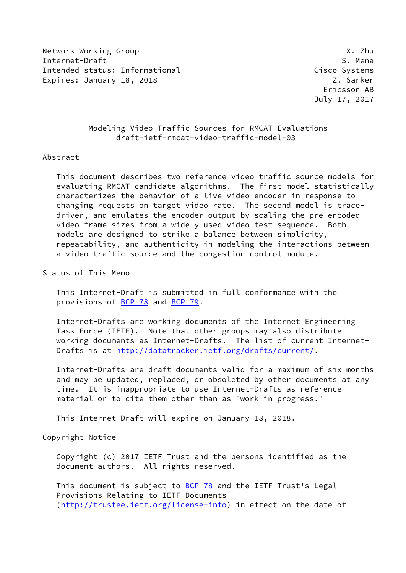Network Working Group **X.2hu** Internet-Draft S. Mena Intended status: Informational Cisco Systems Expires: January 18, 2018 **Z. Sarker** Z. Sarker

# Modeling Video Traffic Sources for RMCAT Evaluations draft-ietf-rmcat-video-traffic-model-03

### Abstract

 This document describes two reference video traffic source models for evaluating RMCAT candidate algorithms. The first model statistically characterizes the behavior of a live video encoder in response to changing requests on target video rate. The second model is trace driven, and emulates the encoder output by scaling the pre-encoded video frame sizes from a widely used video test sequence. Both models are designed to strike a balance between simplicity, repeatability, and authenticity in modeling the interactions between a video traffic source and the congestion control module.

Status of This Memo

 This Internet-Draft is submitted in full conformance with the provisions of [BCP 78](https://datatracker.ietf.org/doc/pdf/bcp78) and [BCP 79](https://datatracker.ietf.org/doc/pdf/bcp79).

 Internet-Drafts are working documents of the Internet Engineering Task Force (IETF). Note that other groups may also distribute working documents as Internet-Drafts. The list of current Internet- Drafts is at<http://datatracker.ietf.org/drafts/current/>.

 Internet-Drafts are draft documents valid for a maximum of six months and may be updated, replaced, or obsoleted by other documents at any time. It is inappropriate to use Internet-Drafts as reference material or to cite them other than as "work in progress."

This Internet-Draft will expire on January 18, 2018.

Copyright Notice

 Copyright (c) 2017 IETF Trust and the persons identified as the document authors. All rights reserved.

This document is subject to **[BCP 78](https://datatracker.ietf.org/doc/pdf/bcp78)** and the IETF Trust's Legal Provisions Relating to IETF Documents [\(http://trustee.ietf.org/license-info](http://trustee.ietf.org/license-info)) in effect on the date of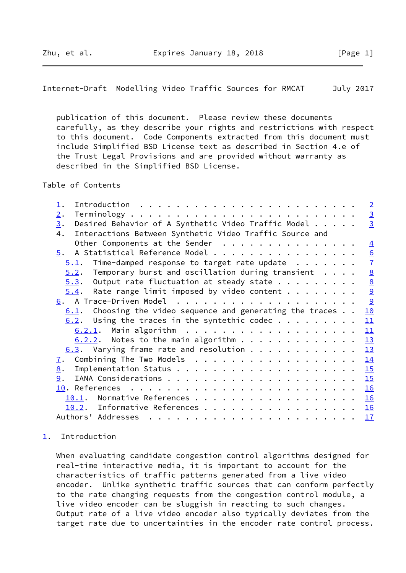<span id="page-1-1"></span>Internet-Draft Modelling Video Traffic Sources for RMCAT July 2017

 publication of this document. Please review these documents carefully, as they describe your rights and restrictions with respect to this document. Code Components extracted from this document must include Simplified BSD License text as described in Section 4.e of the Trust Legal Provisions and are provided without warranty as described in the Simplified BSD License.

Table of Contents

| $\perp$ .                                                                                                                                                                                                                                                                                                                                                                                                                                                                                                     | $\overline{2}$  |
|---------------------------------------------------------------------------------------------------------------------------------------------------------------------------------------------------------------------------------------------------------------------------------------------------------------------------------------------------------------------------------------------------------------------------------------------------------------------------------------------------------------|-----------------|
| 2.                                                                                                                                                                                                                                                                                                                                                                                                                                                                                                            | $\overline{3}$  |
| Desired Behavior of A Synthetic Video Traffic Model<br>3.                                                                                                                                                                                                                                                                                                                                                                                                                                                     | $\overline{3}$  |
| Interactions Between Synthetic Video Traffic Source and<br>4.                                                                                                                                                                                                                                                                                                                                                                                                                                                 |                 |
| Other Components at the Sender                                                                                                                                                                                                                                                                                                                                                                                                                                                                                | $\overline{4}$  |
| A Statistical Reference Model<br>5.                                                                                                                                                                                                                                                                                                                                                                                                                                                                           | 6               |
| Time-damped response to target rate update<br>5.1.                                                                                                                                                                                                                                                                                                                                                                                                                                                            | $\overline{1}$  |
| Temporary burst and oscillation during transient<br>5.2.                                                                                                                                                                                                                                                                                                                                                                                                                                                      | $\underline{8}$ |
| Output rate fluctuation at steady state<br>5.3.                                                                                                                                                                                                                                                                                                                                                                                                                                                               | $\underline{8}$ |
| Rate range limit imposed by video content $\cdots$<br>5.4.                                                                                                                                                                                                                                                                                                                                                                                                                                                    | $\overline{9}$  |
|                                                                                                                                                                                                                                                                                                                                                                                                                                                                                                               | 9               |
| Choosing the video sequence and generating the traces<br>6.1.                                                                                                                                                                                                                                                                                                                                                                                                                                                 | 10              |
| Using the traces in the syntethic codec<br>6.2.                                                                                                                                                                                                                                                                                                                                                                                                                                                               | 11              |
|                                                                                                                                                                                                                                                                                                                                                                                                                                                                                                               | 11              |
| $6.2.2.$ Notes to the main algorithm                                                                                                                                                                                                                                                                                                                                                                                                                                                                          | 13              |
| $6.3$ . Varying frame rate and resolution                                                                                                                                                                                                                                                                                                                                                                                                                                                                     | 13              |
| Combining The Two Models<br>$\overline{1}$ .                                                                                                                                                                                                                                                                                                                                                                                                                                                                  | 14              |
| 8.                                                                                                                                                                                                                                                                                                                                                                                                                                                                                                            | 15              |
| 9.                                                                                                                                                                                                                                                                                                                                                                                                                                                                                                            | 15              |
|                                                                                                                                                                                                                                                                                                                                                                                                                                                                                                               | 16              |
| 10.1.                                                                                                                                                                                                                                                                                                                                                                                                                                                                                                         | 16              |
| 10.2. Informative References                                                                                                                                                                                                                                                                                                                                                                                                                                                                                  | 16              |
| Authors' Addresses<br>$\mathbf{r}^{\mathsf{T}} \cdot \mathbf{r}^{\mathsf{T}} \cdot \mathbf{r}^{\mathsf{T}} \cdot \mathbf{r}^{\mathsf{T}} \cdot \mathbf{r}^{\mathsf{T}} \cdot \mathbf{r}^{\mathsf{T}} \cdot \mathbf{r}^{\mathsf{T}} \cdot \mathbf{r}^{\mathsf{T}} \cdot \mathbf{r}^{\mathsf{T}} \cdot \mathbf{r}^{\mathsf{T}} \cdot \mathbf{r}^{\mathsf{T}} \cdot \mathbf{r}^{\mathsf{T}} \cdot \mathbf{r}^{\mathsf{T}} \cdot \mathbf{r}^{\mathsf{T}} \cdot \mathbf{r}^{\mathsf{T}} \cdot \mathbf{r}^{\mathsf$ | 17              |
|                                                                                                                                                                                                                                                                                                                                                                                                                                                                                                               |                 |

# <span id="page-1-0"></span>[1](#page-1-0). Introduction

 When evaluating candidate congestion control algorithms designed for real-time interactive media, it is important to account for the characteristics of traffic patterns generated from a live video encoder. Unlike synthetic traffic sources that can conform perfectly to the rate changing requests from the congestion control module, a live video encoder can be sluggish in reacting to such changes. Output rate of a live video encoder also typically deviates from the target rate due to uncertainties in the encoder rate control process.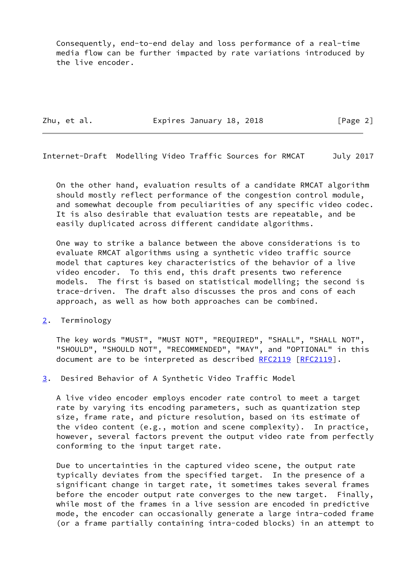Consequently, end-to-end delay and loss performance of a real-time media flow can be further impacted by rate variations introduced by the live encoder.

Zhu, et al. **Expires January 18, 2018** [Page 2]

<span id="page-2-1"></span>Internet-Draft Modelling Video Traffic Sources for RMCAT July 2017

 On the other hand, evaluation results of a candidate RMCAT algorithm should mostly reflect performance of the congestion control module, and somewhat decouple from peculiarities of any specific video codec. It is also desirable that evaluation tests are repeatable, and be easily duplicated across different candidate algorithms.

 One way to strike a balance between the above considerations is to evaluate RMCAT algorithms using a synthetic video traffic source model that captures key characteristics of the behavior of a live video encoder. To this end, this draft presents two reference models. The first is based on statistical modelling; the second is trace-driven. The draft also discusses the pros and cons of each approach, as well as how both approaches can be combined.

<span id="page-2-0"></span>[2](#page-2-0). Terminology

 The key words "MUST", "MUST NOT", "REQUIRED", "SHALL", "SHALL NOT", "SHOULD", "SHOULD NOT", "RECOMMENDED", "MAY", and "OPTIONAL" in this document are to be interpreted as described [RFC2119 \[RFC2119](https://datatracker.ietf.org/doc/pdf/rfc2119)].

<span id="page-2-2"></span>[3](#page-2-2). Desired Behavior of A Synthetic Video Traffic Model

 A live video encoder employs encoder rate control to meet a target rate by varying its encoding parameters, such as quantization step size, frame rate, and picture resolution, based on its estimate of the video content (e.g., motion and scene complexity). In practice, however, several factors prevent the output video rate from perfectly conforming to the input target rate.

 Due to uncertainties in the captured video scene, the output rate typically deviates from the specified target. In the presence of a significant change in target rate, it sometimes takes several frames before the encoder output rate converges to the new target. Finally, while most of the frames in a live session are encoded in predictive mode, the encoder can occasionally generate a large intra-coded frame (or a frame partially containing intra-coded blocks) in an attempt to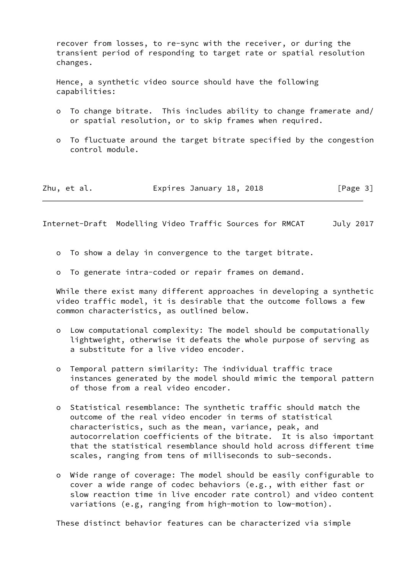recover from losses, to re-sync with the receiver, or during the transient period of responding to target rate or spatial resolution changes.

 Hence, a synthetic video source should have the following capabilities:

- o To change bitrate. This includes ability to change framerate and/ or spatial resolution, or to skip frames when required.
- o To fluctuate around the target bitrate specified by the congestion control module.

| Zhu, et al. | Expires January 18, 2018 | [Page 3] |
|-------------|--------------------------|----------|
|-------------|--------------------------|----------|

<span id="page-3-0"></span>Internet-Draft Modelling Video Traffic Sources for RMCAT July 2017

- o To show a delay in convergence to the target bitrate.
- o To generate intra-coded or repair frames on demand.

 While there exist many different approaches in developing a synthetic video traffic model, it is desirable that the outcome follows a few common characteristics, as outlined below.

- o Low computational complexity: The model should be computationally lightweight, otherwise it defeats the whole purpose of serving as a substitute for a live video encoder.
- o Temporal pattern similarity: The individual traffic trace instances generated by the model should mimic the temporal pattern of those from a real video encoder.
- o Statistical resemblance: The synthetic traffic should match the outcome of the real video encoder in terms of statistical characteristics, such as the mean, variance, peak, and autocorrelation coefficients of the bitrate. It is also important that the statistical resemblance should hold across different time scales, ranging from tens of milliseconds to sub-seconds.
- o Wide range of coverage: The model should be easily configurable to cover a wide range of codec behaviors (e.g., with either fast or slow reaction time in live encoder rate control) and video content variations (e.g, ranging from high-motion to low-motion).

These distinct behavior features can be characterized via simple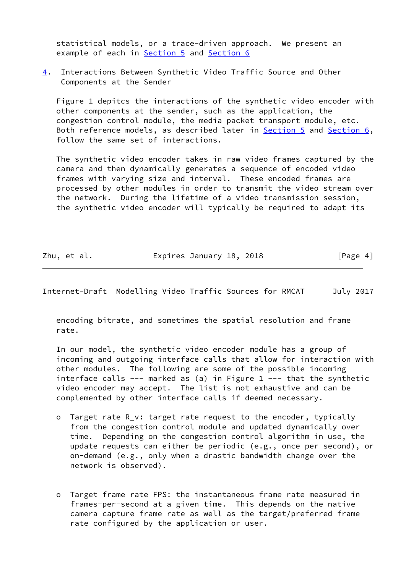statistical models, or a trace-driven approach. We present an example of each in [Section 5](#page-6-0) and [Section 6](#page-9-2)

<span id="page-4-0"></span>[4](#page-4-0). Interactions Between Synthetic Video Traffic Source and Other Components at the Sender

 Figure 1 depitcs the interactions of the synthetic video encoder with other components at the sender, such as the application, the congestion control module, the media packet transport module, etc. Both reference models, as described later in [Section 5](#page-6-0) and [Section 6,](#page-9-2) follow the same set of interactions.

 The synthetic video encoder takes in raw video frames captured by the camera and then dynamically generates a sequence of encoded video frames with varying size and interval. These encoded frames are processed by other modules in order to transmit the video stream over the network. During the lifetime of a video transmission session, the synthetic video encoder will typically be required to adapt its

| Zhu, et al. | Expires January 18, 2018 | [Page 4] |
|-------------|--------------------------|----------|
|-------------|--------------------------|----------|

Internet-Draft Modelling Video Traffic Sources for RMCAT July 2017

 encoding bitrate, and sometimes the spatial resolution and frame rate.

 In our model, the synthetic video encoder module has a group of incoming and outgoing interface calls that allow for interaction with other modules. The following are some of the possible incoming interface calls  $---$  marked as (a) in Figure 1  $---$  that the synthetic video encoder may accept. The list is not exhaustive and can be complemented by other interface calls if deemed necessary.

- o Target rate R\_v: target rate request to the encoder, typically from the congestion control module and updated dynamically over time. Depending on the congestion control algorithm in use, the update requests can either be periodic (e.g., once per second), or on-demand (e.g., only when a drastic bandwidth change over the network is observed).
- o Target frame rate FPS: the instantaneous frame rate measured in frames-per-second at a given time. This depends on the native camera capture frame rate as well as the target/preferred frame rate configured by the application or user.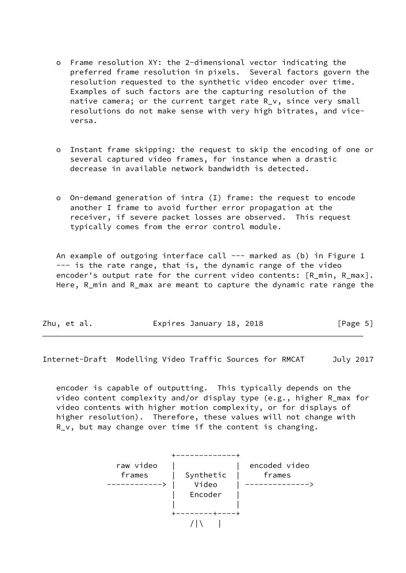- o Frame resolution XY: the 2-dimensional vector indicating the preferred frame resolution in pixels. Several factors govern the resolution requested to the synthetic video encoder over time. Examples of such factors are the capturing resolution of the native camera; or the current target rate R v, since very small resolutions do not make sense with very high bitrates, and vice versa.
- o Instant frame skipping: the request to skip the encoding of one or several captured video frames, for instance when a drastic decrease in available network bandwidth is detected.
- o On-demand generation of intra (I) frame: the request to encode another I frame to avoid further error propagation at the receiver, if severe packet losses are observed. This request typically comes from the error control module.

An example of outgoing interface call --- marked as (b) in Figure 1 --- is the rate range, that is, the dynamic range of the video encoder's output rate for the current video contents: [R\_min, R\_max]. Here, R\_min and R\_max are meant to capture the dynamic rate range the

| Expires January 18, 2018<br>Zhu, et al. | [Page 5] |
|-----------------------------------------|----------|
|-----------------------------------------|----------|

<span id="page-5-0"></span>Internet-Draft Modelling Video Traffic Sources for RMCAT July 2017

 encoder is capable of outputting. This typically depends on the video content complexity and/or display type (e.g., higher R\_max for video contents with higher motion complexity, or for displays of higher resolution). Therefore, these values will not change with R\_v, but may change over time if the content is changing.

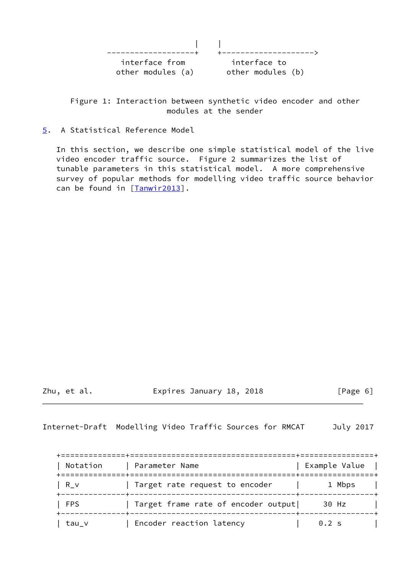| interface from    | interface to      |
|-------------------|-------------------|
| other modules (a) | other modules (b) |

 Figure 1: Interaction between synthetic video encoder and other modules at the sender

<span id="page-6-0"></span>[5](#page-6-0). A Statistical Reference Model

 In this section, we describe one simple statistical model of the live video encoder traffic source. Figure 2 summarizes the list of tunable parameters in this statistical model. A more comprehensive survey of popular methods for modelling video traffic source behavior can be found in [\[Tanwir2013\]](#page-18-1).

Zhu, et al. Expires January 18, 2018 [Page 6]

<span id="page-6-1"></span>Internet-Draft Modelling Video Traffic Sources for RMCAT July 2017

| Notation   | Parameter Name<br>__________        | Example Value |
|------------|-------------------------------------|---------------|
| R v        | Target rate request to encoder      | 1 Mbps        |
| <b>FPS</b> | Target frame rate of encoder output | 30 Hz         |
| tau v      | Encoder reaction latency            | $0.2$ s       |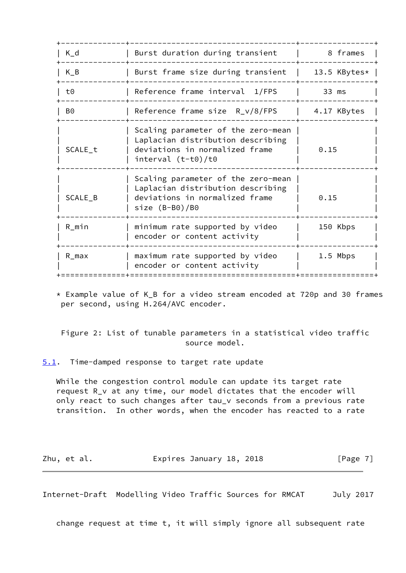| $K_d$     | Burst duration during transient                                                                                                   | 8 frames     |
|-----------|-----------------------------------------------------------------------------------------------------------------------------------|--------------|
| $K_B$     | Burst frame size during transient                                                                                                 | 13.5 KBytes* |
| t0        | Reference frame interval 1/FPS                                                                                                    | 33 ms        |
| B0        | Reference frame size $R_v/8$ /FPS                                                                                                 | 4.17 KBytes  |
| SCALE_t   | Scaling parameter of the zero-mean<br>Laplacian distribution describing<br>deviations in normalized frame<br>interval $(t-t0)/t0$ | 0.15         |
| SCALE_B   | Scaling parameter of the zero-mean<br>Laplacian distribution describing<br>deviations in normalized frame<br>size $(B- B0)/B0$    | 0.15         |
| $R_{min}$ | minimum rate supported by video<br>encoder or content activity                                                                    | 150 Kbps     |
| $R_{max}$ | maximum rate supported by video<br>encoder or content activity                                                                    | 1.5 Mbps     |
|           |                                                                                                                                   |              |

 \* Example value of K\_B for a video stream encoded at 720p and 30 frames per second, using H.264/AVC encoder.

 Figure 2: List of tunable parameters in a statistical video traffic source model.

<span id="page-7-0"></span>[5.1](#page-7-0). Time-damped response to target rate update

 While the congestion control module can update its target rate request R\_v at any time, our model dictates that the encoder will only react to such changes after tau\_v seconds from a previous rate transition. In other words, when the encoder has reacted to a rate

| Zhu, et al. | Expires January 18, 2018 | [Page 7] |
|-------------|--------------------------|----------|
|-------------|--------------------------|----------|

<span id="page-7-1"></span>Internet-Draft Modelling Video Traffic Sources for RMCAT July 2017

change request at time t, it will simply ignore all subsequent rate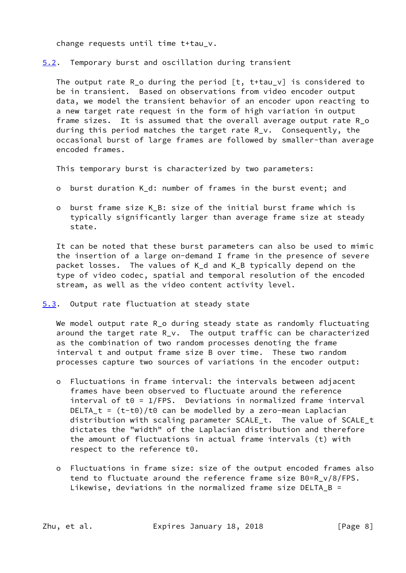change requests until time t+tau\_v.

<span id="page-8-0"></span>[5.2](#page-8-0). Temporary burst and oscillation during transient

The output rate R<sub>1</sub>o during the period  $[t, t+tau_0]$  is considered to be in transient. Based on observations from video encoder output data, we model the transient behavior of an encoder upon reacting to a new target rate request in the form of high variation in output frame sizes. It is assumed that the overall average output rate R\_o during this period matches the target rate R\_v. Consequently, the occasional burst of large frames are followed by smaller-than average encoded frames.

This temporary burst is characterized by two parameters:

- o burst duration K\_d: number of frames in the burst event; and
- o burst frame size K\_B: size of the initial burst frame which is typically significantly larger than average frame size at steady state.

 It can be noted that these burst parameters can also be used to mimic the insertion of a large on-demand I frame in the presence of severe packet losses. The values of K\_d and K\_B typically depend on the type of video codec, spatial and temporal resolution of the encoded stream, as well as the video content activity level.

<span id="page-8-1"></span>[5.3](#page-8-1). Output rate fluctuation at steady state

We model output rate R\_o during steady state as randomly fluctuating around the target rate R\_v. The output traffic can be characterized as the combination of two random processes denoting the frame interval t and output frame size B over time. These two random processes capture two sources of variations in the encoder output:

- o Fluctuations in frame interval: the intervals between adjacent frames have been observed to fluctuate around the reference  $interval$  of t $0 = 1$ /FPS. Deviations in normalized frame interval DELTA\_t =  $(t-t0)/t0$  can be modelled by a zero-mean Laplacian distribution with scaling parameter SCALE\_t. The value of SCALE\_t dictates the "width" of the Laplacian distribution and therefore the amount of fluctuations in actual frame intervals (t) with respect to the reference t0.
- o Fluctuations in frame size: size of the output encoded frames also tend to fluctuate around the reference frame size B0=R\_v/8/FPS. Likewise, deviations in the normalized frame size DELTA\_B =

Zhu, et al. **Expires January 18, 2018** [Page 8]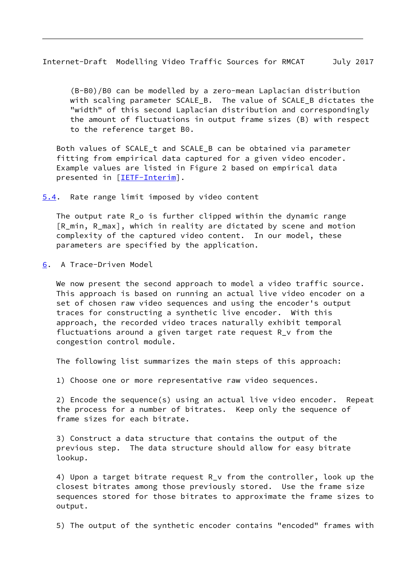<span id="page-9-1"></span>Internet-Draft Modelling Video Traffic Sources for RMCAT July 2017

 (B-B0)/B0 can be modelled by a zero-mean Laplacian distribution with scaling parameter SCALE B. The value of SCALE B dictates the "width" of this second Laplacian distribution and correspondingly the amount of fluctuations in output frame sizes (B) with respect to the reference target B0.

 Both values of SCALE\_t and SCALE\_B can be obtained via parameter fitting from empirical data captured for a given video encoder. Example values are listed in Figure 2 based on empirical data presented in [\[IETF-Interim](#page-17-4)].

<span id="page-9-0"></span>[5.4](#page-9-0). Rate range limit imposed by video content

The output rate R o is further clipped within the dynamic range [R\_min, R\_max], which in reality are dictated by scene and motion complexity of the captured video content. In our model, these parameters are specified by the application.

<span id="page-9-2"></span>[6](#page-9-2). A Trace-Driven Model

We now present the second approach to model a video traffic source. This approach is based on running an actual live video encoder on a set of chosen raw video sequences and using the encoder's output traces for constructing a synthetic live encoder. With this approach, the recorded video traces naturally exhibit temporal fluctuations around a given target rate request R\_v from the congestion control module.

The following list summarizes the main steps of this approach:

1) Choose one or more representative raw video sequences.

 2) Encode the sequence(s) using an actual live video encoder. Repeat the process for a number of bitrates. Keep only the sequence of frame sizes for each bitrate.

 3) Construct a data structure that contains the output of the previous step. The data structure should allow for easy bitrate lookup.

 4) Upon a target bitrate request R\_v from the controller, look up the closest bitrates among those previously stored. Use the frame size sequences stored for those bitrates to approximate the frame sizes to output.

5) The output of the synthetic encoder contains "encoded" frames with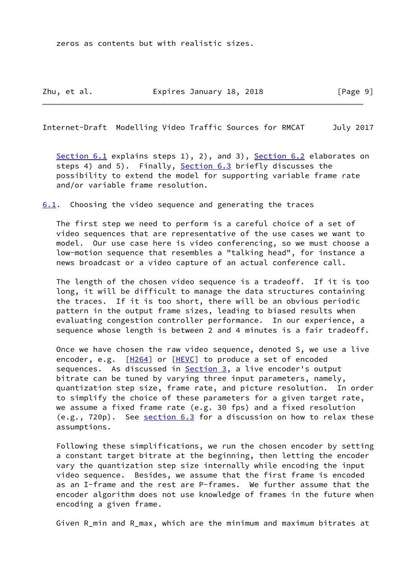zeros as contents but with realistic sizes.

<span id="page-10-1"></span>Internet-Draft Modelling Video Traffic Sources for RMCAT July 2017

[Section 6.1](#page-10-0) explains steps 1), 2), and 3), [Section 6.2](#page-11-0) elaborates on steps 4) and 5). Finally, [Section 6.3](#page-14-0) briefly discusses the possibility to extend the model for supporting variable frame rate and/or variable frame resolution.

<span id="page-10-0"></span>[6.1](#page-10-0). Choosing the video sequence and generating the traces

 The first step we need to perform is a careful choice of a set of video sequences that are representative of the use cases we want to model. Our use case here is video conferencing, so we must choose a low-motion sequence that resembles a "talking head", for instance a news broadcast or a video capture of an actual conference call.

 The length of the chosen video sequence is a tradeoff. If it is too long, it will be difficult to manage the data structures containing the traces. If it is too short, there will be an obvious periodic pattern in the output frame sizes, leading to biased results when evaluating congestion controller performance. In our experience, a sequence whose length is between 2 and 4 minutes is a fair tradeoff.

 Once we have chosen the raw video sequence, denoted S, we use a live encoder, e.g. [\[H264](#page-17-5)] or [\[HEVC](#page-17-6)] to produce a set of encoded sequences. As discussed in **Section 3**, a live encoder's output bitrate can be tuned by varying three input parameters, namely, quantization step size, frame rate, and picture resolution. In order to simplify the choice of these parameters for a given target rate, we assume a fixed frame rate (e.g. 30 fps) and a fixed resolution  $(e.g., 720p)$ . See [section 6.3](#page-14-0) for a discussion on how to relax these assumptions.

 Following these simplifications, we run the chosen encoder by setting a constant target bitrate at the beginning, then letting the encoder vary the quantization step size internally while encoding the input video sequence. Besides, we assume that the first frame is encoded as an I-frame and the rest are P-frames. We further assume that the encoder algorithm does not use knowledge of frames in the future when encoding a given frame.

Given R\_min and R\_max, which are the minimum and maximum bitrates at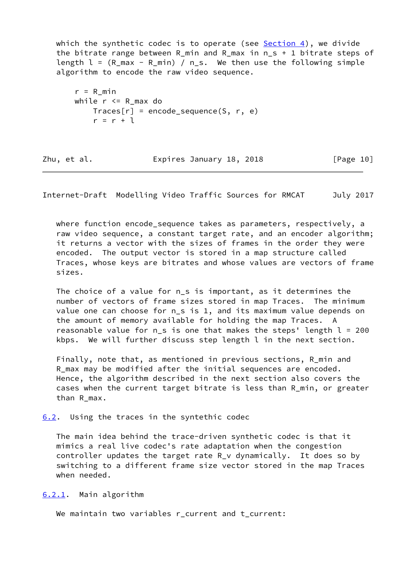which the synthetic codec is to operate (see [Section 4](#page-4-0)), we divide the bitrate range between R\_min and R\_max in n\_s + 1 bitrate steps of length  $l = (R \text{ max} - R \text{ min}) / n \text{ s}$ . We then use the following simple algorithm to encode the raw video sequence.

```
r = R min
while r \leq R max do
    Trace[r] = encode\_sequence(S, r, e)r = r + 1
```

| Zhu, et al. | Expires January 18, 2018 | [Page 10] |
|-------------|--------------------------|-----------|
|             |                          |           |

<span id="page-11-1"></span>Internet-Draft Modelling Video Traffic Sources for RMCAT July 2017

where function encode sequence takes as parameters, respectively, a raw video sequence, a constant target rate, and an encoder algorithm; it returns a vector with the sizes of frames in the order they were encoded. The output vector is stored in a map structure called Traces, whose keys are bitrates and whose values are vectors of frame sizes.

The choice of a value for n s is important, as it determines the number of vectors of frame sizes stored in map Traces. The minimum value one can choose for n\_s is 1, and its maximum value depends on the amount of memory available for holding the map Traces. A reasonable value for n\_s is one that makes the steps' length l = 200 kbps. We will further discuss step length l in the next section.

 Finally, note that, as mentioned in previous sections, R\_min and R\_max may be modified after the initial sequences are encoded. Hence, the algorithm described in the next section also covers the cases when the current target bitrate is less than R\_min, or greater than R\_max.

<span id="page-11-0"></span>[6.2](#page-11-0). Using the traces in the syntethic codec

 The main idea behind the trace-driven synthetic codec is that it mimics a real live codec's rate adaptation when the congestion controller updates the target rate  $R_V$  dynamically. It does so by switching to a different frame size vector stored in the map Traces when needed.

<span id="page-11-2"></span>[6.2.1](#page-11-2). Main algorithm

We maintain two variables r\_current and t\_current: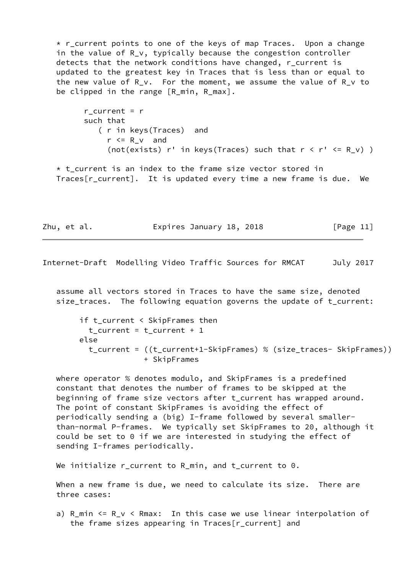\* r\_current points to one of the keys of map Traces. Upon a change in the value of R\_v, typically because the congestion controller detects that the network conditions have changed, r current is updated to the greatest key in Traces that is less than or equal to the new value of R\_v. For the moment, we assume the value of R\_v to be clipped in the range [R\_min, R\_max].

r current =  $r$  such that ( r in keys(Traces) and  $r \le R_v$  and (not(exists) r' in keys(Traces) such that  $r < r' < R$  v) )

 $*$  t current is an index to the frame size vector stored in Traces[r\_current]. It is updated every time a new frame is due. We

Zhu, et al. **Expires January 18, 2018** [Page 11]

Internet-Draft Modelling Video Traffic Sources for RMCAT July 2017

 assume all vectors stored in Traces to have the same size, denoted size\_traces. The following equation governs the update of t\_current:

 if t\_current < SkipFrames then  $t$ \_current =  $t$ \_current + 1 else t\_current = ((t\_current+1-SkipFrames) % (size\_traces- SkipFrames)) + SkipFrames

 where operator % denotes modulo, and SkipFrames is a predefined constant that denotes the number of frames to be skipped at the beginning of frame size vectors after t\_current has wrapped around. The point of constant SkipFrames is avoiding the effect of periodically sending a (big) I-frame followed by several smaller than-normal P-frames. We typically set SkipFrames to 20, although it could be set to 0 if we are interested in studying the effect of sending I-frames periodically.

We initialize r\_current to R\_min, and t\_current to 0.

 When a new frame is due, we need to calculate its size. There are three cases:

 a) R\_min <= R\_v < Rmax: In this case we use linear interpolation of the frame sizes appearing in Traces[r\_current] and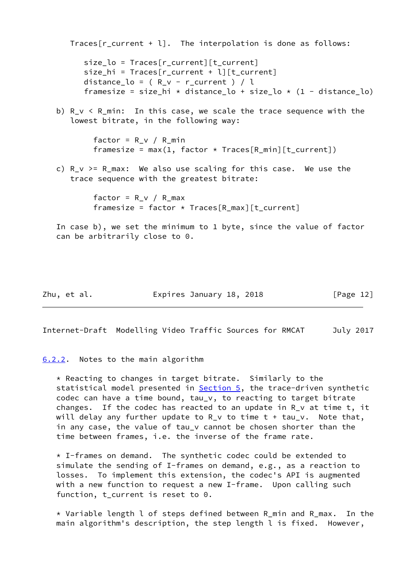Traces[r\_current + l]. The interpolation is done as follows: size lo = Traces[r current][t current] size\_hi = Traces[r\_current + l][t\_current] distance\_lo =  $(R_v - r_c)$ current  $) / l$ framesize = size hi \* distance lo + size lo \* (1 - distance lo) b)  $R_v < R_{min}$ : In this case, we scale the trace sequence with the lowest bitrate, in the following way: factor =  $R_v$  /  $R_m$ in framesize = max $(1,$  factor \* Traces $[R_m$ in] $[t_current])$ c)  $R_v > = R_{max}$ : We also use scaling for this case. We use the trace sequence with the greatest bitrate:  $factor = R_v / R_{max}$ framesize = factor  $*$  Traces[R\_max][t\_current] In case b), we set the minimum to 1 byte, since the value of factor can be arbitrarily close to 0.

Zhu, et al. Expires January 18, 2018 [Page 12]

<span id="page-13-1"></span>Internet-Draft Modelling Video Traffic Sources for RMCAT July 2017

<span id="page-13-0"></span>[6.2.2](#page-13-0). Notes to the main algorithm

 \* Reacting to changes in target bitrate. Similarly to the statistical model presented in [Section 5,](#page-6-0) the trace-driven synthetic codec can have a time bound, tau\_v, to reacting to target bitrate changes. If the codec has reacted to an update in R\_v at time t, it will delay any further update to  $R_V$  to time  $t + tau_V$ . Note that, in any case, the value of tau\_v cannot be chosen shorter than the time between frames, i.e. the inverse of the frame rate.

 $*$  I-frames on demand. The synthetic codec could be extended to simulate the sending of I-frames on demand, e.g., as a reaction to losses. To implement this extension, the codec's API is augmented with a new function to request a new I-frame. Upon calling such function, t\_current is reset to 0.

 \* Variable length l of steps defined between R\_min and R\_max. In the main algorithm's description, the step length l is fixed. However,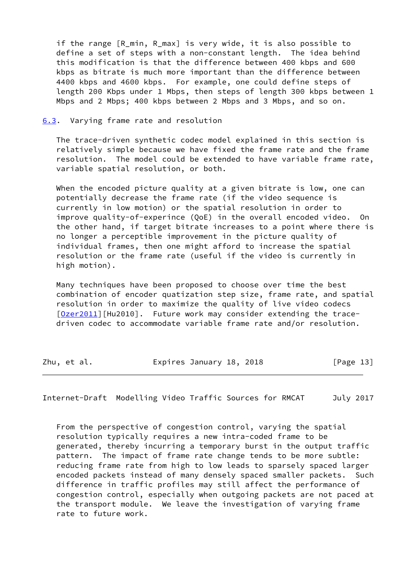if the range [R min, R max] is very wide, it is also possible to define a set of steps with a non-constant length. The idea behind this modification is that the difference between 400 kbps and 600 kbps as bitrate is much more important than the difference between 4400 kbps and 4600 kbps. For example, one could define steps of length 200 Kbps under 1 Mbps, then steps of length 300 kbps between 1 Mbps and 2 Mbps; 400 kbps between 2 Mbps and 3 Mbps, and so on.

#### <span id="page-14-0"></span>[6.3](#page-14-0). Varying frame rate and resolution

 The trace-driven synthetic codec model explained in this section is relatively simple because we have fixed the frame rate and the frame resolution. The model could be extended to have variable frame rate, variable spatial resolution, or both.

When the encoded picture quality at a given bitrate is low, one can potentially decrease the frame rate (if the video sequence is currently in low motion) or the spatial resolution in order to improve quality-of-experince (QoE) in the overall encoded video. On the other hand, if target bitrate increases to a point where there is no longer a perceptible improvement in the picture quality of individual frames, then one might afford to increase the spatial resolution or the frame rate (useful if the video is currently in high motion).

 Many techniques have been proposed to choose over time the best combination of encoder quatization step size, frame rate, and spatial resolution in order to maximize the quality of live video codecs [\[Ozer2011](#page-17-7)][Hu2010]. Future work may consider extending the trace driven codec to accommodate variable frame rate and/or resolution.

| Zhu, et al. | Expires January 18, 2018 | [Page 13] |
|-------------|--------------------------|-----------|
|-------------|--------------------------|-----------|

<span id="page-14-1"></span>Internet-Draft Modelling Video Traffic Sources for RMCAT July 2017

 From the perspective of congestion control, varying the spatial resolution typically requires a new intra-coded frame to be generated, thereby incurring a temporary burst in the output traffic pattern. The impact of frame rate change tends to be more subtle: reducing frame rate from high to low leads to sparsely spaced larger encoded packets instead of many densely spaced smaller packets. Such difference in traffic profiles may still affect the performance of congestion control, especially when outgoing packets are not paced at the transport module. We leave the investigation of varying frame rate to future work.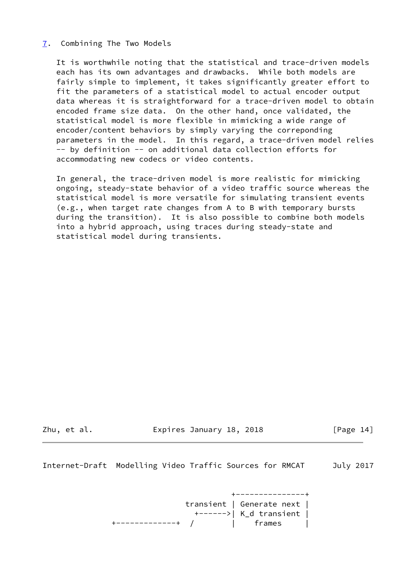## <span id="page-15-0"></span>[7](#page-15-0). Combining The Two Models

 It is worthwhile noting that the statistical and trace-driven models each has its own advantages and drawbacks. While both models are fairly simple to implement, it takes significantly greater effort to fit the parameters of a statistical model to actual encoder output data whereas it is straightforward for a trace-driven model to obtain encoded frame size data. On the other hand, once validated, the statistical model is more flexible in mimicking a wide range of encoder/content behaviors by simply varying the correponding parameters in the model. In this regard, a trace-driven model relies -- by definition -- on additional data collection efforts for accommodating new codecs or video contents.

 In general, the trace-driven model is more realistic for mimicking ongoing, steady-state behavior of a video traffic source whereas the statistical model is more versatile for simulating transient events (e.g., when target rate changes from A to B with temporary bursts during the transition). It is also possible to combine both models into a hybrid approach, using traces during steady-state and statistical model during transients.

Zhu, et al. **Expires January 18, 2018** [Page 14]

<span id="page-15-1"></span>Internet-Draft Modelling Video Traffic Sources for RMCAT July 2017

 +---------------+ transient | Generate next | +------>| K\_d transient | +-------------+ / | frames |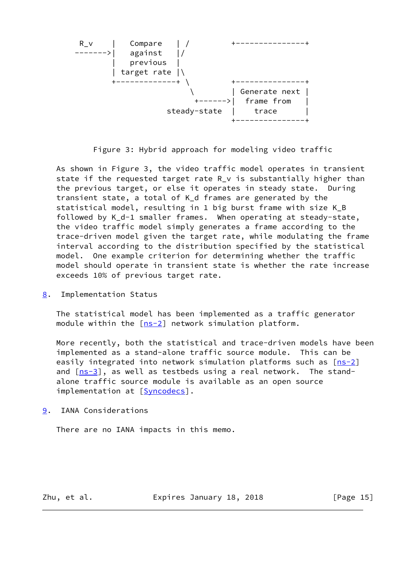

Figure 3: Hybrid approach for modeling video traffic

 As shown in Figure 3, the video traffic model operates in transient state if the requested target rate R\_v is substantially higher than the previous target, or else it operates in steady state. During transient state, a total of K\_d frames are generated by the statistical model, resulting in 1 big burst frame with size K\_B followed by K\_d-1 smaller frames. When operating at steady-state, the video traffic model simply generates a frame according to the trace-driven model given the target rate, while modulating the frame interval according to the distribution specified by the statistical model. One example criterion for determining whether the traffic model should operate in transient state is whether the rate increase exceeds 10% of previous target rate.

<span id="page-16-0"></span>[8](#page-16-0). Implementation Status

 The statistical model has been implemented as a traffic generator module within the [[ns-2\]](#page-17-8) network simulation platform.

 More recently, both the statistical and trace-driven models have been implemented as a stand-alone traffic source module. This can be easily integrated into network simulation platforms such as  $[ns-2]$  $[ns-2]$ and  $[ns-3]$  $[ns-3]$ , as well as testbeds using a real network. The stand alone traffic source module is available as an open source implementation at [[Syncodecs\]](#page-17-10).

<span id="page-16-1"></span>[9](#page-16-1). IANA Considerations

There are no IANA impacts in this memo.

Zhu, et al. **Expires January 18, 2018** [Page 15]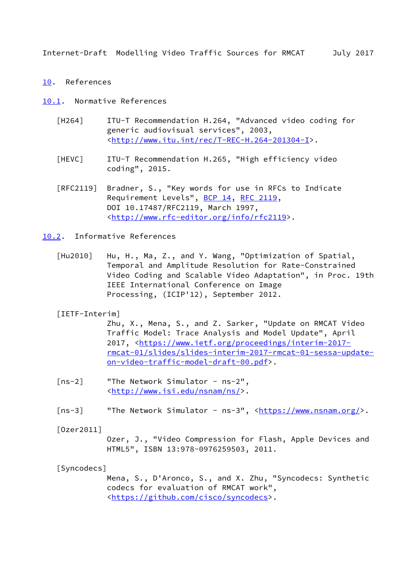<span id="page-17-1"></span>Internet-Draft Modelling Video Traffic Sources for RMCAT July 2017

## <span id="page-17-0"></span>[10.](#page-17-0) References

<span id="page-17-2"></span>[10.1](#page-17-2). Normative References

- <span id="page-17-5"></span> [H264] ITU-T Recommendation H.264, "Advanced video coding for generic audiovisual services", 2003, <[http://www.itu.int/rec/T-REC-H.264-201304-I>](http://www.itu.int/rec/T-REC-H.264-201304-I).
- <span id="page-17-6"></span> [HEVC] ITU-T Recommendation H.265, "High efficiency video coding", 2015.
- [RFC2119] Bradner, S., "Key words for use in RFCs to Indicate Requirement Levels", [BCP 14](https://datatracker.ietf.org/doc/pdf/bcp14), [RFC 2119](https://datatracker.ietf.org/doc/pdf/rfc2119), DOI 10.17487/RFC2119, March 1997, <<http://www.rfc-editor.org/info/rfc2119>>.
- <span id="page-17-3"></span>[10.2](#page-17-3). Informative References
	- [Hu2010] Hu, H., Ma, Z., and Y. Wang, "Optimization of Spatial, Temporal and Amplitude Resolution for Rate-Constrained Video Coding and Scalable Video Adaptation", in Proc. 19th IEEE International Conference on Image Processing, (ICIP'12), September 2012.
	- [IETF-Interim]

<span id="page-17-4"></span> Zhu, X., Mena, S., and Z. Sarker, "Update on RMCAT Video Traffic Model: Trace Analysis and Model Update", April 2017, [<https://www.ietf.org/proceedings/interim-2017](https://www.ietf.org/proceedings/interim-2017-rmcat-01/slides/slides-interim-2017-rmcat-01-sessa-update-on-video-traffic-model-draft-00.pdf) [rmcat-01/slides/slides-interim-2017-rmcat-01-sessa-update](https://www.ietf.org/proceedings/interim-2017-rmcat-01/slides/slides-interim-2017-rmcat-01-sessa-update-on-video-traffic-model-draft-00.pdf) [on-video-traffic-model-draft-00.pdf](https://www.ietf.org/proceedings/interim-2017-rmcat-01/slides/slides-interim-2017-rmcat-01-sessa-update-on-video-traffic-model-draft-00.pdf)>.

- <span id="page-17-8"></span> [ns-2] "The Network Simulator - ns-2", <[http://www.isi.edu/nsnam/ns/>](http://www.isi.edu/nsnam/ns/).
- <span id="page-17-9"></span>[ns-3] "The Network Simulator - ns-3", <<https://www.nsnam.org/>>.

<span id="page-17-7"></span>[Ozer2011]

 Ozer, J., "Video Compression for Flash, Apple Devices and HTML5", ISBN 13:978-0976259503, 2011.

## <span id="page-17-10"></span>[Syncodecs]

 Mena, S., D'Aronco, S., and X. Zhu, "Syncodecs: Synthetic codecs for evaluation of RMCAT work", <[https://github.com/cisco/syncodecs>](https://github.com/cisco/syncodecs).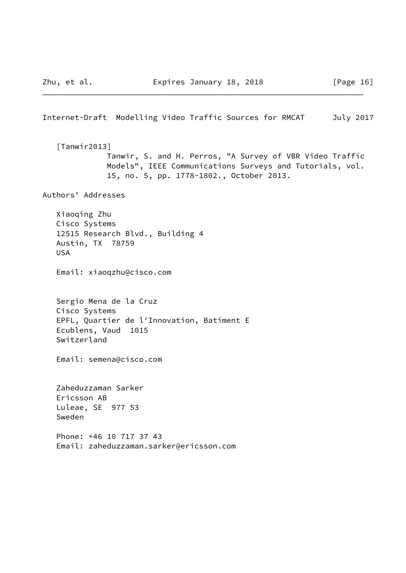<span id="page-18-1"></span><span id="page-18-0"></span>Internet-Draft Modelling Video Traffic Sources for RMCAT July 2017 [Tanwir2013] Tanwir, S. and H. Perros, "A Survey of VBR Video Traffic Models", IEEE Communications Surveys and Tutorials, vol. 15, no. 5, pp. 1778-1802., October 2013. Authors' Addresses Xiaoqing Zhu Cisco Systems 12515 Research Blvd., Building 4 Austin, TX 78759 USA Email: xiaoqzhu@cisco.com Sergio Mena de la Cruz Cisco Systems EPFL, Quartier de l'Innovation, Batiment E Ecublens, Vaud 1015 Switzerland Email: semena@cisco.com Zaheduzzaman Sarker Ericsson AB Luleae, SE 977 53 Sweden Phone: +46 10 717 37 43 Email: zaheduzzaman.sarker@ericsson.com